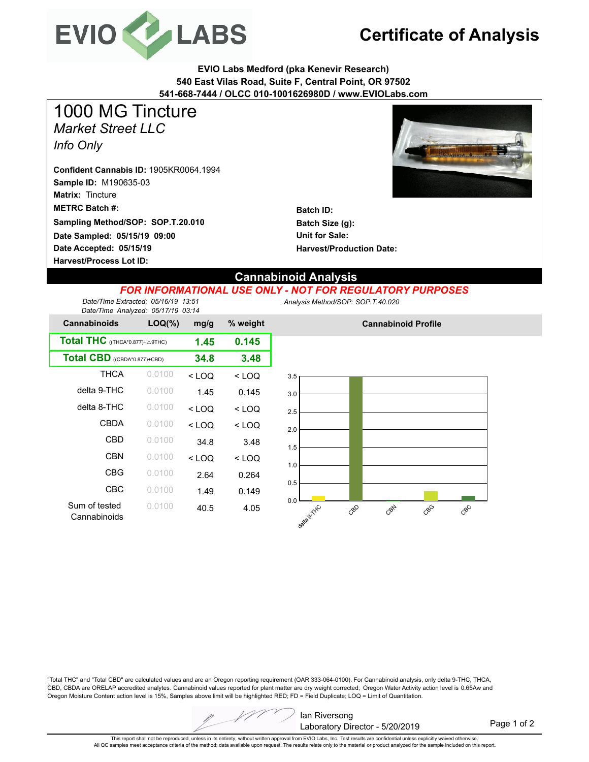

# **Certificate of Analysis**

**EVIO Labs Medford (pka Kenevir Research) 540 East Vilas Road, Suite F, Central Point, OR 97502 541-668-7444 / OLCC 010-1001626980D / www.EVIOLabs.com**

*Market Street LLC Info Only* 1000 MG Tincture

**Sample ID:** M190635-03 **Matrix:** Tincture **Date Accepted: 05/15/19 METRC Batch #: Date Sampled: 05/15/19 09:00 Harvest/Process Lot ID: Sampling Method/SOP: SOP.T.20.010 Confident Cannabis ID:** 1905KR0064.1994



**Batch ID: Batch Size (g): Unit for Sale: Harvest/Production Date:** 

### **Cannabinoid Analysis**

#### *FOR INFORMATIONAL USE ONLY - NOT FOR REGULATORY PURPOSES*

*Date/Time Extracted: 05/16/19 13:51 Date/Time Analyzed: 05/17/19 03:14* *Analysis Method/SOP:SOP.T.40.020*

| <b>Cannabinoids</b>                               | $LOQ(\%)$ |         | % weight |  |
|---------------------------------------------------|-----------|---------|----------|--|
| <b>Total THC</b> ((THCA*0.877)+ $\triangle$ 9THC) | 1.45      | 0.145   |          |  |
| Total CBD ((CBDA*0.877)+CBD)                      | 34.8      | 3.48    |          |  |
| <b>THCA</b>                                       | 0.0100    | $<$ LOQ | $<$ LOQ  |  |
| delta 9-THC                                       | 0.0100    | 1.45    | 0.145    |  |
| delta 8-THC                                       | 0.0100    | $<$ LOQ | $<$ LOQ  |  |
| <b>CBDA</b>                                       | 0.0100    | < LOQ   | $<$ LOQ  |  |
| CBD                                               | 0.0100    | 34.8    | 3.48     |  |
| <b>CBN</b>                                        | 0.0100    | $<$ LOQ | $<$ LOQ  |  |
| CBG                                               | 0.0100    | 2.64    | 0.264    |  |
| CBC                                               | 0.0100    | 1.49    | 0.149    |  |
| Sum of tested<br>Cannabinoids                     | 0.0100    | 40.5    | 4.05     |  |



**Cannabinoid Profile**

"Total THC" and "Total CBD" are calculated values and are an Oregon reporting requirement (OAR 333-064-0100). For Cannabinoid analysis, only delta 9-THC, THCA, CBD, CBDA are ORELAP accredited analytes. Cannabinoid values reported for plant matter are dry weight corrected; Oregon Water Activity action level is 0.65Aw and Oregon Moisture Content action level is 15%, Samples above limit will be highlighted RED; FD = Field Duplicate; LOQ = Limit of Quantitation.



Page 1 of 2

This report shall not be reproduced, unless in its entirety, without written approval from EVIO Labs, Inc. Test results are confidential unless explicitly waived otherwise. All QC samples meet acceptance criteria of the method; data available upon request. The results relate only to the material or product analyzed for the sample included on this report.